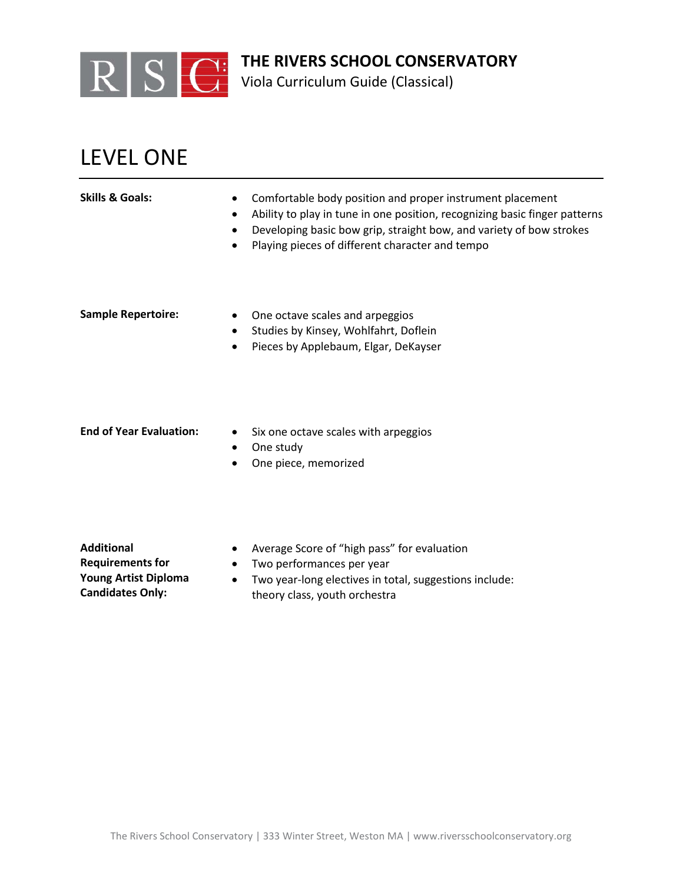

Viola Curriculum Guide (Classical)

## LEVEL ONE

| <b>Skills &amp; Goals:</b> | Comfortable body position and proper instrument placement<br>Ability to play in tune in one position, recognizing basic finger patterns<br>$\bullet$<br>Developing basic bow grip, straight bow, and variety of bow strokes<br>$\bullet$<br>Playing pieces of different character and tempo |
|----------------------------|---------------------------------------------------------------------------------------------------------------------------------------------------------------------------------------------------------------------------------------------------------------------------------------------|
| <b>Sample Repertoire:</b>  | One octave scales and arpeggios<br>$\bullet$<br>Studies by Kinsey, Wohlfahrt, Doflein<br>$\bullet$<br>Pieces by Applebaum, Elgar, DeKayser<br>$\bullet$                                                                                                                                     |

- 
- **End of Year Evaluation:** Six one octave scales with arpeggios
	- One study
	- One piece, memorized

**Additional Requirements for Young Artist Diploma Candidates Only:**

- Average Score of "high pass" for evaluation
- Two performances per year
- Two year-long electives in total, suggestions include: theory class, youth orchestra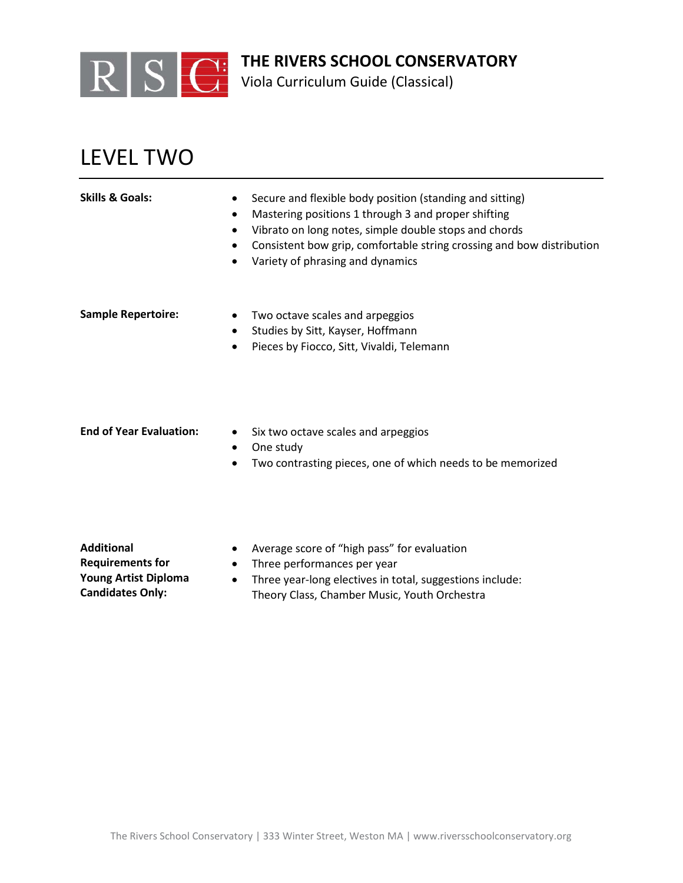

Viola Curriculum Guide (Classical)

## LEVEL TWO

| <b>Skills &amp; Goals:</b>     | Secure and flexible body position (standing and sitting)<br>Mastering positions 1 through 3 and proper shifting<br>Vibrato on long notes, simple double stops and chords<br>٠<br>Consistent bow grip, comfortable string crossing and bow distribution<br>٠<br>Variety of phrasing and dynamics<br>$\bullet$ |
|--------------------------------|--------------------------------------------------------------------------------------------------------------------------------------------------------------------------------------------------------------------------------------------------------------------------------------------------------------|
| <b>Sample Repertoire:</b>      | Two octave scales and arpeggios<br>$\bullet$<br>Studies by Sitt, Kayser, Hoffmann<br>٠<br>Pieces by Fiocco, Sitt, Vivaldi, Telemann<br>$\bullet$                                                                                                                                                             |
| <b>End of Year Evaluation:</b> | Six two octave scales and arpeggios<br>$\bullet$<br>One study                                                                                                                                                                                                                                                |

• Two contrasting pieces, one of which needs to be memorized

**Additional Requirements for Young Artist Diploma Candidates Only:**

- Average score of "high pass" for evaluation
- Three performances per year
- Three year-long electives in total, suggestions include: Theory Class, Chamber Music, Youth Orchestra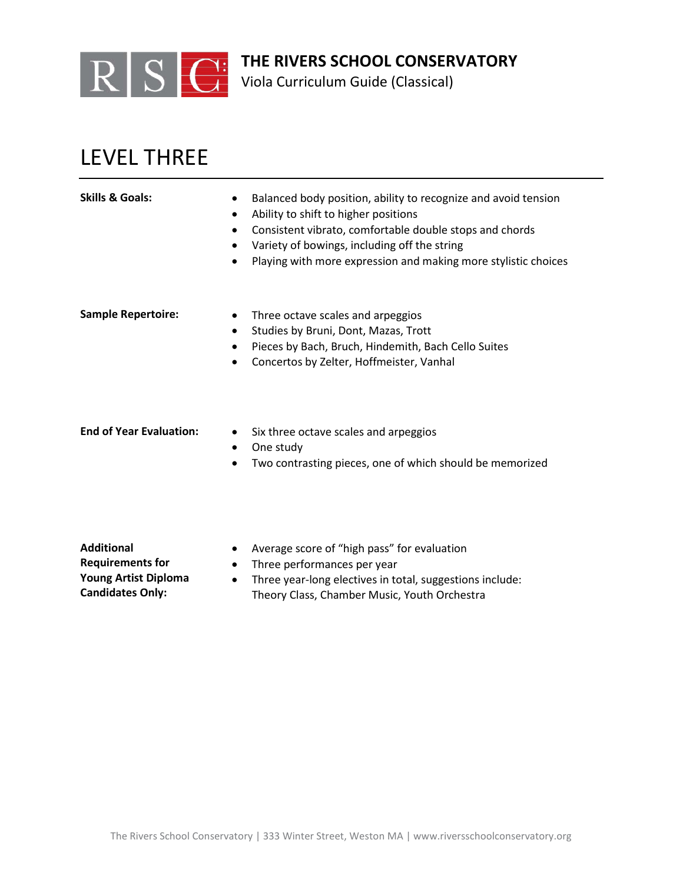

Viola Curriculum Guide (Classical)

## LEVEL THREE

| <b>Skills &amp; Goals:</b>     | Balanced body position, ability to recognize and avoid tension<br>Ability to shift to higher positions<br>Consistent vibrato, comfortable double stops and chords<br>Variety of bowings, including off the string<br>Playing with more expression and making more stylistic choices<br>$\bullet$ |
|--------------------------------|--------------------------------------------------------------------------------------------------------------------------------------------------------------------------------------------------------------------------------------------------------------------------------------------------|
| <b>Sample Repertoire:</b>      | Three octave scales and arpeggios<br>$\bullet$<br>Studies by Bruni, Dont, Mazas, Trott<br>$\bullet$<br>Pieces by Bach, Bruch, Hindemith, Bach Cello Suites<br>$\bullet$<br>Concertos by Zelter, Hoffmeister, Vanhal                                                                              |
| <b>End of Year Evaluation:</b> | Six three octave scales and arpeggios<br>$\bullet$<br>One study<br>$\bullet$<br>Two contrasting pieces, one of which should be memorized                                                                                                                                                         |

**Additional Requirements for Young Artist Diploma Candidates Only:**

- Average score of "high pass" for evaluation
- Three performances per year
- Three year-long electives in total, suggestions include: Theory Class, Chamber Music, Youth Orchestra